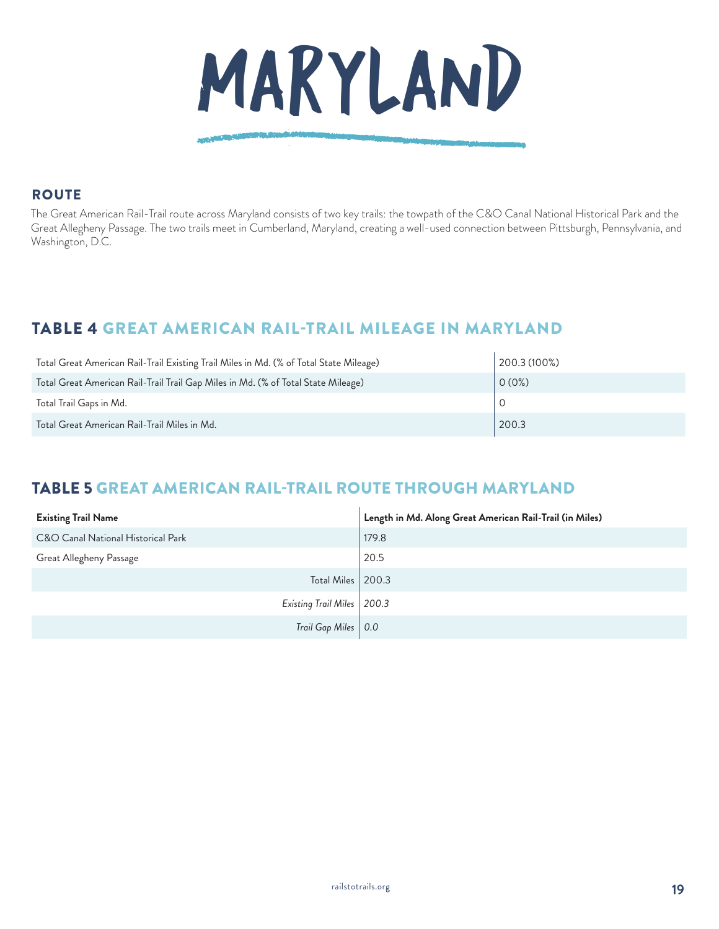

#### **ROUTE**

The Great American Rail-Trail route across Maryland consists of two key trails: the towpath of the C&O Canal National Historical Park and the Great Allegheny Passage. The two trails meet in Cumberland, Maryland, creating a well-used connection between Pittsburgh, Pennsylvania, and Washington, D.C.

# TABLE 4 GREAT AMERICAN RAIL-TRAIL MILEAGE IN MARYLAND

| Total Great American Rail-Trail Existing Trail Miles in Md. (% of Total State Mileage) | 200.3 (100%) |
|----------------------------------------------------------------------------------------|--------------|
| Total Great American Rail-Trail Trail Gap Miles in Md. (% of Total State Mileage)      | 0(0%)        |
| Total Trail Gaps in Md.                                                                |              |
| Total Great American Rail-Trail Miles in Md.                                           | 200.3        |

# TABLE 5 GREAT AMERICAN RAIL-TRAIL ROUTE THROUGH MARYLAND

| <b>Existing Trail Name</b>         | Length in Md. Along Great American Rail-Trail (in Miles) |
|------------------------------------|----------------------------------------------------------|
| C&O Canal National Historical Park | 179.8                                                    |
| Great Allegheny Passage            | 20.5                                                     |
| Total Miles   200.3                |                                                          |
| Existing Trail Miles   200.3       |                                                          |
| Trail Gap Miles   0.0              |                                                          |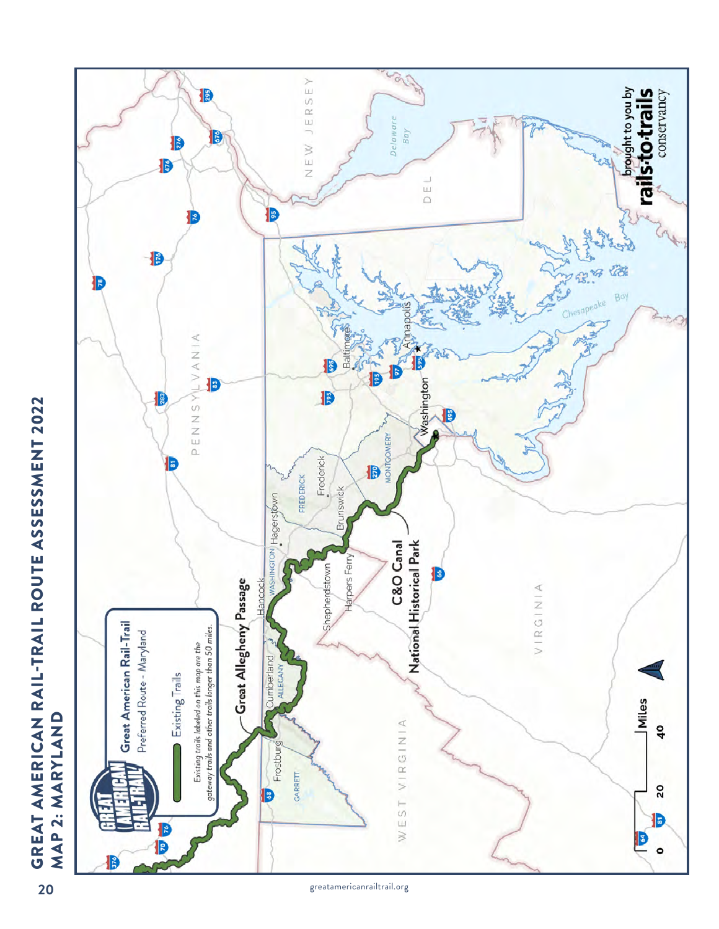

greatamericanrailtrail.org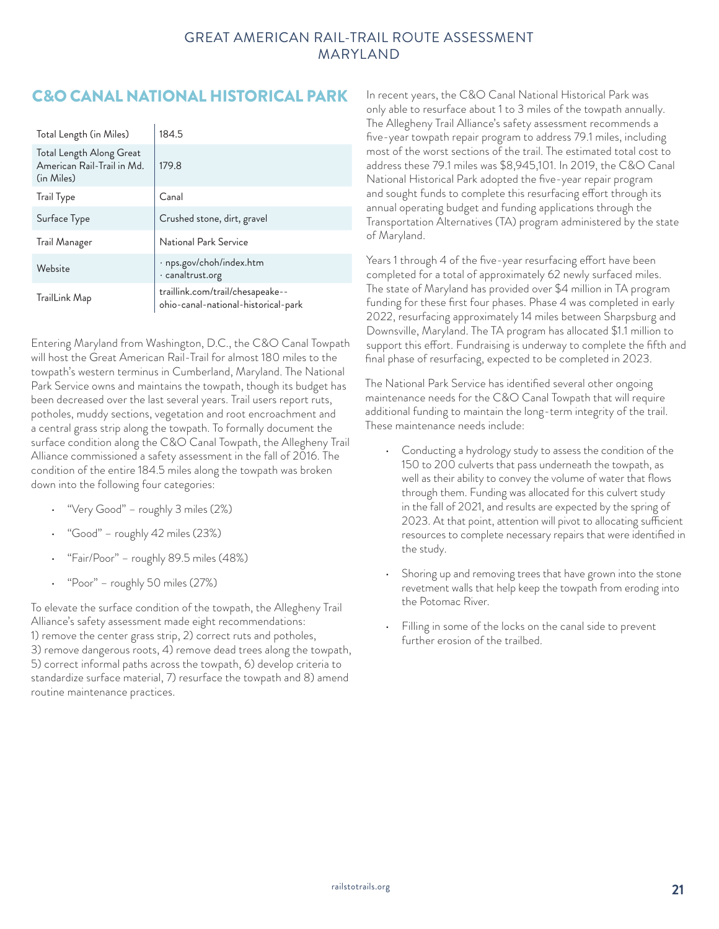### GREAT AMERICAN RAIL-TRAIL ROUTE ASSESSMENT MARYLAND

# C&O CANAL NATIONAL HISTORICAL PARK In recent years, the C&O Canal National Historical Park was

| Total Length (in Miles)                                              | 184.5                                                                   |
|----------------------------------------------------------------------|-------------------------------------------------------------------------|
| Total Length Along Great<br>American Rail-Trail in Md.<br>(in Miles) | 179.8                                                                   |
| <b>Trail Type</b>                                                    | Canal                                                                   |
| Surface Type                                                         | Crushed stone, dirt, gravel                                             |
| Trail Manager                                                        | National Park Service                                                   |
| Website                                                              | $\cdot$ nps.gov/choh/index.htm<br>· canaltrust.org                      |
| TrailLink Map                                                        | traillink.com/trail/chesapeake--<br>ohio-canal-national-historical-park |

Entering Maryland from Washington, D.C., the C&O Canal Towpath will host the Great American Rail-Trail for almost 180 miles to the towpath's western terminus in Cumberland, Maryland. The National Park Service owns and maintains the towpath, though its budget has been decreased over the last several years. Trail users report ruts, potholes, muddy sections, vegetation and root encroachment and a central grass strip along the towpath. To formally document the surface condition along the C&O Canal Towpath, the Allegheny Trail Alliance commissioned a safety assessment in the fall of 2016. The condition of the entire 184.5 miles along the towpath was broken down into the following four categories:

- "Very Good" roughly 3 miles (2%)
- "Good" roughly 42 miles (23%)
- "Fair/Poor" roughly 89.5 miles (48%)
- "Poor" roughly 50 miles (27%)

To elevate the surface condition of the towpath, the Allegheny Trail Alliance's safety assessment made eight recommendations: 1) remove the center grass strip, 2) correct ruts and potholes, 3) remove dangerous roots, 4) remove dead trees along the towpath, 5) correct informal paths across the towpath, 6) develop criteria to standardize surface material, 7) resurface the towpath and 8) amend routine maintenance practices.

only able to resurface about 1 to 3 miles of the towpath annually. The Allegheny Trail Alliance's safety assessment recommends a five-year towpath repair program to address 79.1 miles, including most of the worst sections of the trail. The estimated total cost to address these 79.1 miles was \$8,945,101. In 2019, the C&O Canal National Historical Park adopted the five-year repair program and sought funds to complete this resurfacing effort through its annual operating budget and funding applications through the Transportation Alternatives (TA) program administered by the state of Maryland.

Years 1 through 4 of the five-year resurfacing effort have been completed for a total of approximately 62 newly surfaced miles. The state of Maryland has provided over \$4 million in TA program funding for these first four phases. Phase 4 was completed in early 2022, resurfacing approximately 14 miles between Sharpsburg and Downsville, Maryland. The TA program has allocated \$1.1 million to support this effort. Fundraising is underway to complete the fifth and final phase of resurfacing, expected to be completed in 2023.

The National Park Service has identified several other ongoing maintenance needs for the C&O Canal Towpath that will require additional funding to maintain the long-term integrity of the trail. These maintenance needs include:

- Conducting a hydrology study to assess the condition of the 150 to 200 culverts that pass underneath the towpath, as well as their ability to convey the volume of water that flows through them. Funding was allocated for this culvert study in the fall of 2021, and results are expected by the spring of 2023. At that point, attention will pivot to allocating sufficient resources to complete necessary repairs that were identified in the study.
- Shoring up and removing trees that have grown into the stone revetment walls that help keep the towpath from eroding into the Potomac River.
- Filling in some of the locks on the canal side to prevent further erosion of the trailbed.